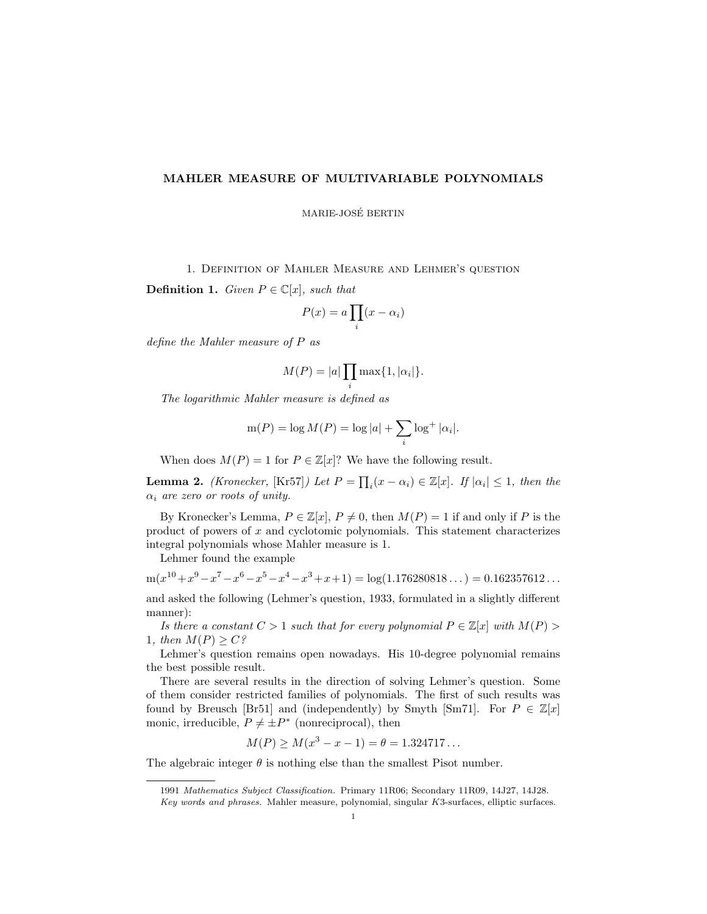## MAHLER MEASURE OF MULTIVARIABLE POLYNOMIALS

MARIE-JOSE BERTIN ´

1. Definition of Mahler Measure and Lehmer's question

**Definition 1.** Given  $P \in \mathbb{C}[x]$ , such that

$$
P(x) = a \prod_i (x - \alpha_i)
$$

define the Mahler measure of P as

$$
M(P) = |a| \prod_i \max\{1, |\alpha_i|\}.
$$

The logarithmic Mahler measure is defined as

$$
m(P) = \log M(P) = \log |a| + \sum_{i} \log^+ |\alpha_i|.
$$

When does  $M(P) = 1$  for  $P \in \mathbb{Z}[x]$ ? We have the following result.

**Lemma 2.** (Kronecker, [Kr57]) Let  $P = \prod_i (x - \alpha_i) \in \mathbb{Z}[x]$ . If  $|\alpha_i| \leq 1$ , then the  $\alpha_i$  are zero or roots of unity.

By Kronecker's Lemma,  $P \in \mathbb{Z}[x], P \neq 0$ , then  $M(P) = 1$  if and only if P is the product of powers of  $x$  and cyclotomic polynomials. This statement characterizes integral polynomials whose Mahler measure is 1.

Lehmer found the example

 $m(x^{10} + x^9 - x^7 - x^6 - x^5 - x^4 - x^3 + x + 1) = log(1.176280818...) = 0.162357612...$ 

and asked the following (Lehmer's question, 1933, formulated in a slightly different manner):

Is there a constant  $C > 1$  such that for every polynomial  $P \in \mathbb{Z}[x]$  with  $M(P) >$ 1, then  $M(P) \geq C$ ?

Lehmer's question remains open nowadays. His 10-degree polynomial remains the best possible result.

There are several results in the direction of solving Lehmer's question. Some of them consider restricted families of polynomials. The first of such results was found by Breusch [Br51] and (independently) by Smyth [Sm71]. For  $P \in \mathbb{Z}[x]$ monic, irreducible,  $P \neq \pm P^*$  (nonreciprocal), then

$$
M(P) \ge M(x^3 - x - 1) = \theta = 1.324717...
$$

The algebraic integer  $\theta$  is nothing else than the smallest Pisot number.

<sup>1991</sup> Mathematics Subject Classification. Primary 11R06; Secondary 11R09, 14J27, 14J28.

Key words and phrases. Mahler measure, polynomial, singular K3-surfaces, elliptic surfaces.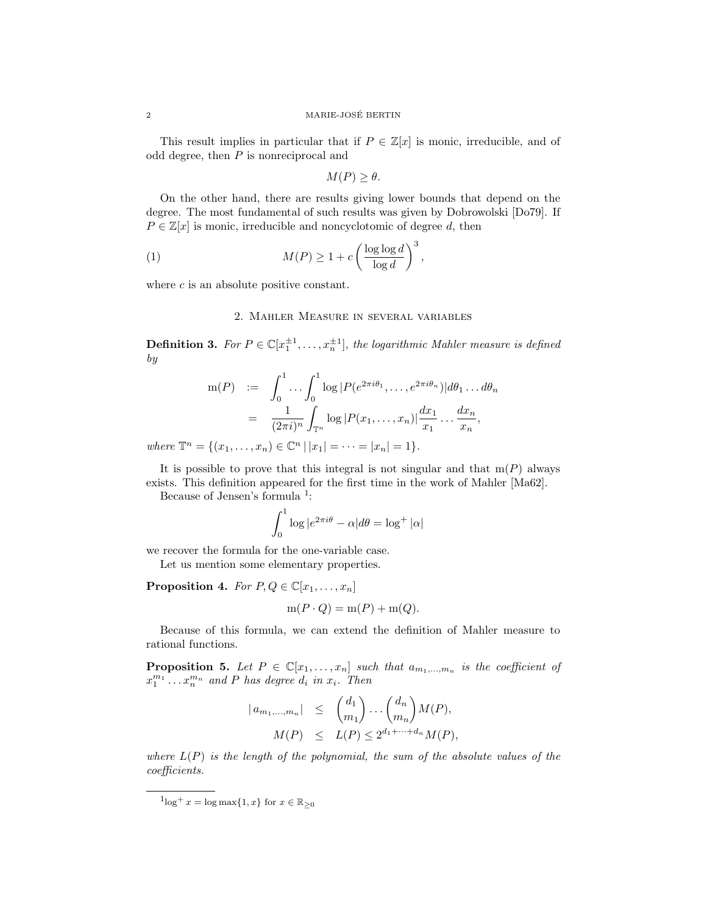#### 2 MARIE-JOSE BERTIN ´

This result implies in particular that if  $P \in \mathbb{Z}[x]$  is monic, irreducible, and of odd degree, then  $P$  is nonreciprocal and

$$
M(P) \ge \theta.
$$

On the other hand, there are results giving lower bounds that depend on the degree. The most fundamental of such results was given by Dobrowolski [Do79]. If  $P \in \mathbb{Z}[x]$  is monic, irreducible and noncyclotomic of degree d, then

(1) 
$$
M(P) \ge 1 + c \left(\frac{\log \log d}{\log d}\right)^3,
$$

where  $c$  is an absolute positive constant.

## 2. Mahler Measure in several variables

**Definition 3.** For  $P \in \mathbb{C}[x_1^{\pm 1}, \ldots, x_n^{\pm 1}]$ , the logarithmic Mahler measure is defined by

$$
m(P) := \int_0^1 \dots \int_0^1 \log |P(e^{2\pi i\theta_1}, \dots, e^{2\pi i\theta_n})| d\theta_1 \dots d\theta_n
$$
  
= 
$$
\frac{1}{(2\pi i)^n} \int_{\mathbb{T}^n} \log |P(x_1, \dots, x_n)| \frac{dx_1}{x_1} \dots \frac{dx_n}{x_n},
$$

where  $\mathbb{T}^n = \{(x_1, \ldots, x_n) \in \mathbb{C}^n \, | \, |x_1| = \cdots = |x_n| = 1\}.$ 

It is possible to prove that this integral is not singular and that  $m(P)$  always exists. This definition appeared for the first time in the work of Mahler [Ma62].

Because of Jensen's formula <sup>1</sup>:

$$
\int_0^1 \log |e^{2\pi i \theta} - \alpha| d\theta = \log^+ |\alpha|
$$

we recover the formula for the one-variable case.

Let us mention some elementary properties.

**Proposition 4.** For  $P, Q \in \mathbb{C}[x_1, \ldots, x_n]$ 

$$
m(P \cdot Q) = m(P) + m(Q).
$$

Because of this formula, we can extend the definition of Mahler measure to rational functions.

**Proposition 5.** Let  $P \in \mathbb{C}[x_1, \ldots, x_n]$  such that  $a_{m_1, \ldots, m_n}$  is the coefficient of  $x_1^{m_1} \ldots x_n^{m_n}$  and P has degree  $d_i$  in  $x_i$ . Then

$$
|a_{m_1,\dots,m_n}| \leq {d_1 \choose m_1} \dots {d_n \choose m_n} M(P),
$$
  

$$
M(P) \leq L(P) \leq 2^{d_1 + \dots + d_n} M(P),
$$

where  $L(P)$  is the length of the polynomial, the sum of the absolute values of the coefficients.

 ${}^{1}\text{log}^{+} x = \text{log max}\{1, x\}$  for  $x \in \mathbb{R}_{\geq 0}$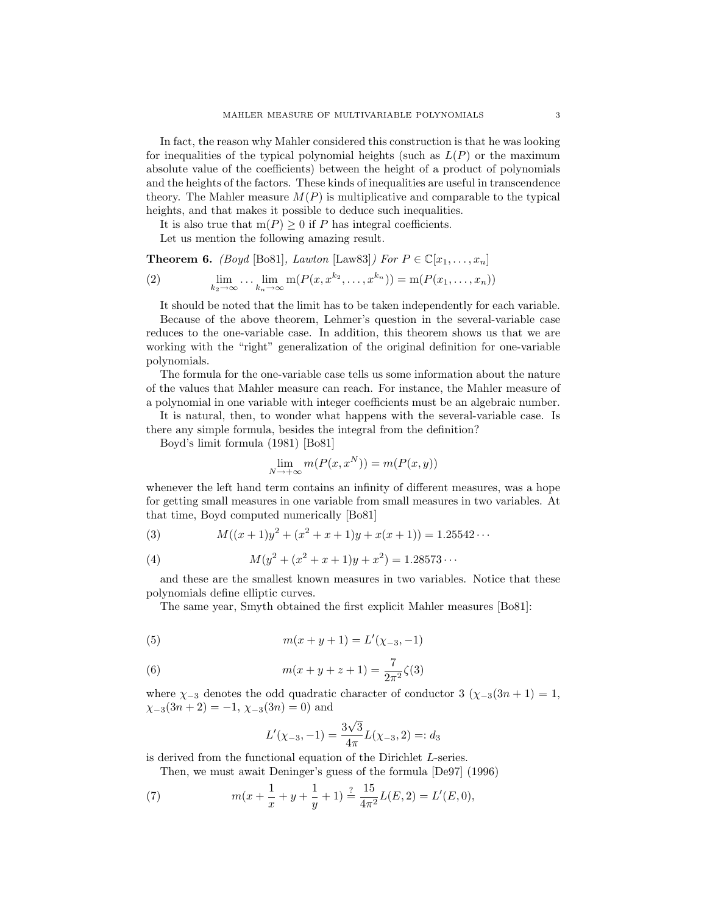In fact, the reason why Mahler considered this construction is that he was looking for inequalities of the typical polynomial heights (such as  $L(P)$  or the maximum absolute value of the coefficients) between the height of a product of polynomials and the heights of the factors. These kinds of inequalities are useful in transcendence theory. The Mahler measure  $M(P)$  is multiplicative and comparable to the typical heights, and that makes it possible to deduce such inequalities.

It is also true that  $m(P) \geq 0$  if P has integral coefficients.

Let us mention the following amazing result.

**Theorem 6.** (Boyd [Bo81], Lawton [Law83]) For  $P \in \mathbb{C}[x_1, \ldots, x_n]$ 

(2) 
$$
\lim_{k_2 \to \infty} \dots \lim_{k_n \to \infty} \mathbf{m}(P(x, x^{k_2}, \dots, x^{k_n})) = \mathbf{m}(P(x_1, \dots, x_n))
$$

It should be noted that the limit has to be taken independently for each variable. Because of the above theorem, Lehmer's question in the several-variable case reduces to the one-variable case. In addition, this theorem shows us that we are working with the "right" generalization of the original definition for one-variable polynomials.

The formula for the one-variable case tells us some information about the nature of the values that Mahler measure can reach. For instance, the Mahler measure of a polynomial in one variable with integer coefficients must be an algebraic number.

It is natural, then, to wonder what happens with the several-variable case. Is there any simple formula, besides the integral from the definition?

Boyd's limit formula (1981) [Bo81]

$$
\lim_{N \to +\infty} m(P(x, x^N)) = m(P(x, y))
$$

whenever the left hand term contains an infinity of different measures, was a hope for getting small measures in one variable from small measures in two variables. At that time, Boyd computed numerically [Bo81]

(3) 
$$
M((x+1)y^{2} + (x^{2} + x + 1)y + x(x+1)) = 1.25542...
$$

(4) 
$$
M(y^2 + (x^2 + x + 1)y + x^2) = 1.28573...
$$

and these are the smallest known measures in two variables. Notice that these polynomials define elliptic curves.

The same year, Smyth obtained the first explicit Mahler measures [Bo81]:

(5) 
$$
m(x + y + 1) = L'(\chi_{-3}, -1)
$$

(6) 
$$
m(x + y + z + 1) = \frac{7}{2\pi^2}\zeta(3)
$$

where  $\chi_{-3}$  denotes the odd quadratic character of conductor 3 ( $\chi_{-3}(3n + 1) = 1$ ,  $\chi_{-3}(3n+2) = -1, \chi_{-3}(3n) = 0$  and

$$
L'(\chi_{-3}, -1) = \frac{3\sqrt{3}}{4\pi}L(\chi_{-3}, 2) =: d_3
$$

is derived from the functional equation of the Dirichlet L-series.

Then, we must await Deninger's guess of the formula [De97] (1996)

(7) 
$$
m(x + \frac{1}{x} + y + \frac{1}{y} + 1) \stackrel{?}{=} \frac{15}{4\pi^2}L(E, 2) = L'(E, 0),
$$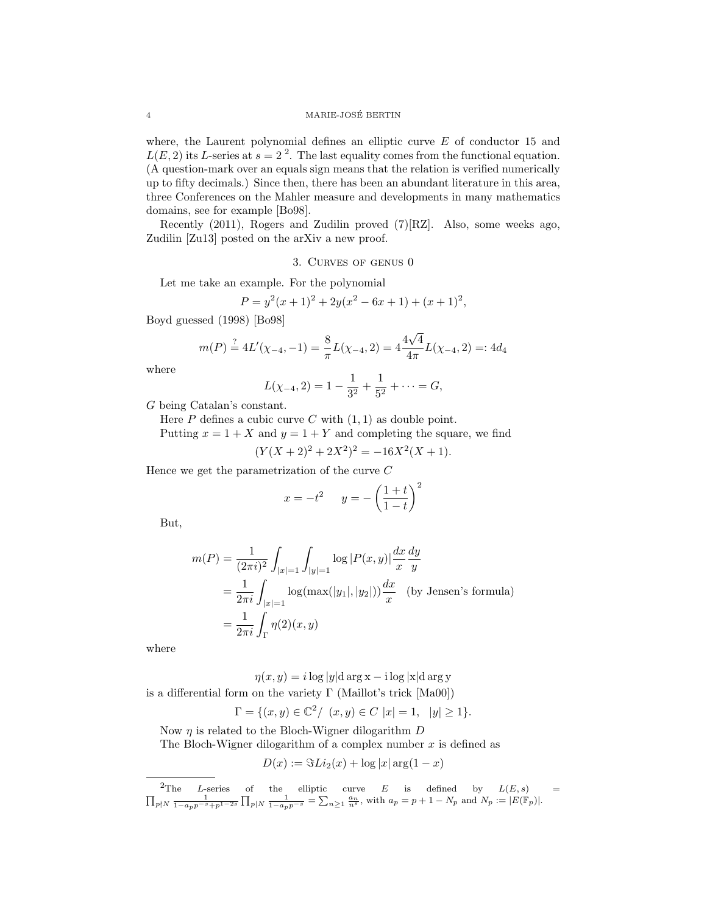where, the Laurent polynomial defines an elliptic curve  $E$  of conductor 15 and  $L(E, 2)$  its L-series at  $s = 2<sup>2</sup>$ . The last equality comes from the functional equation. (A question-mark over an equals sign means that the relation is verified numerically up to fifty decimals.) Since then, there has been an abundant literature in this area, three Conferences on the Mahler measure and developments in many mathematics domains, see for example [Bo98].

Recently (2011), Rogers and Zudilin proved (7)[RZ]. Also, some weeks ago, Zudilin [Zu13] posted on the arXiv a new proof.

#### 3. Curves of genus 0

Let me take an example. For the polynomial

$$
P = y2(x + 1)2 + 2y(x2 – 6x + 1) + (x + 1)2,
$$

Boyd guessed (1998) [Bo98]

$$
m(P) \stackrel{?}{=} 4L'(\chi_{-4}, -1) = \frac{8}{\pi}L(\chi_{-4}, 2) = 4\frac{4\sqrt{4}}{4\pi}L(\chi_{-4}, 2) = 4d_4
$$

where

$$
L(\chi_{-4}, 2) = 1 - \frac{1}{3^2} + \frac{1}{5^2} + \dots = G,
$$

G being Catalan's constant.

Here  $P$  defines a cubic curve  $C$  with  $(1, 1)$  as double point.

Putting  $x = 1 + X$  and  $y = 1 + Y$  and completing the square, we find

 $(Y(X + 2)^2 + 2X^2)^2 = -16X^2(X + 1).$ 

Hence we get the parametrization of the curve C

$$
x = -t^2 \qquad y = -\left(\frac{1+t}{1-t}\right)^2
$$

But,

$$
m(P) = \frac{1}{(2\pi i)^2} \int_{|x|=1} \int_{|y|=1} \log |P(x,y)| \frac{dx}{x} \frac{dy}{y}
$$
  
=  $\frac{1}{2\pi i} \int_{|x|=1} \log(\max(|y_1|, |y_2|)) \frac{dx}{x}$  (by Jensen's formula)  
=  $\frac{1}{2\pi i} \int_{\Gamma} \eta(2)(x, y)$ 

where

 $\eta(x, y) = i \log |y| \, \mathrm{d} \arg x - i \log |x| \, \mathrm{d} \arg y$ 

is a differential form on the variety  $\Gamma$  (Maillot's trick [Ma00])

$$
\Gamma = \{ (x, y) \in \mathbb{C}^2 / \ (x, y) \in C \ |x| = 1, \ |y| \ge 1 \}.
$$

Now  $\eta$  is related to the Bloch-Wigner dilogarithm  $D$ 

The Bloch-Wigner dilogarithm of a complex number  $x$  is defined as

$$
D(x) := \Im Li_2(x) + \log |x| \arg(1-x)
$$

<sup>&</sup>lt;sup>2</sup>The *L*-series of the elliptic curve *E* is defined by  $L(E, s)$  =  $\prod_{p\nmid N} \frac{1}{1-a_p p^{-s}+p^{1-2s}} \prod_{p|N} \frac{1}{1-a_p p^{-s}} = \sum_{n\geq 1} \frac{a_n}{n^s}$ , with  $a_p = p+1-N_p$  and  $N_p := |E(\mathbb{F}_p)|$ .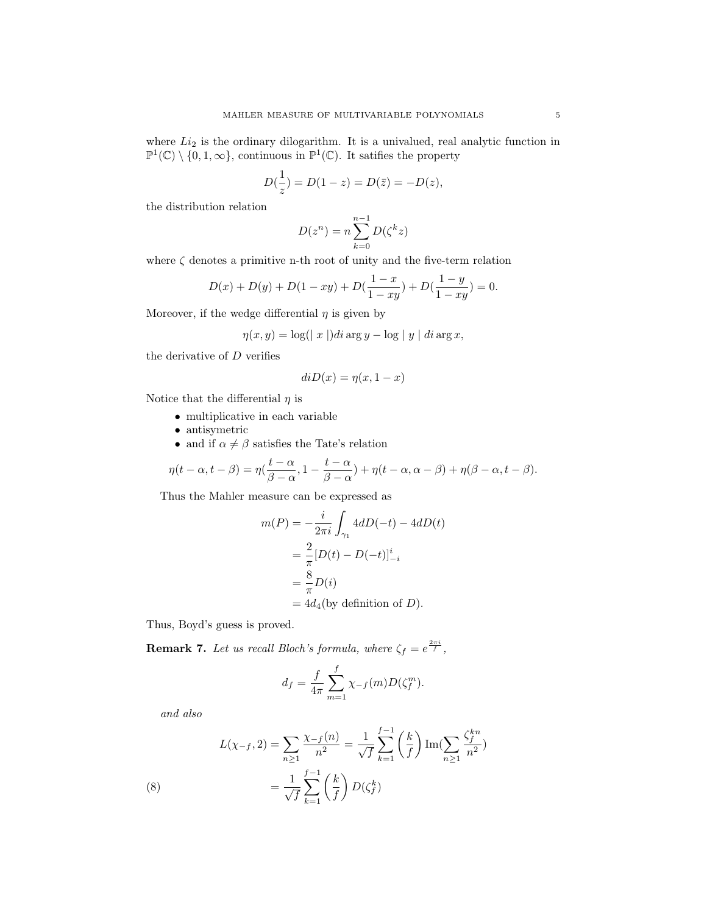where  $Li_2$  is the ordinary dilogarithm. It is a univalued, real analytic function in  $\mathbb{P}^1(\mathbb{C}) \setminus \{0, 1, \infty\}$ , continuous in  $\mathbb{P}^1(\mathbb{C})$ . It satifies the property

$$
D(\frac{1}{z}) = D(1 - z) = D(\bar{z}) = -D(z),
$$

the distribution relation

$$
D(z^n) = n \sum_{k=0}^{n-1} D(\zeta^k z)
$$

where  $\zeta$  denotes a primitive n-th root of unity and the five-term relation

$$
D(x) + D(y) + D(1 - xy) + D(\frac{1 - x}{1 - xy}) + D(\frac{1 - y}{1 - xy}) = 0.
$$

Moreover, if the wedge differential  $\eta$  is given by

1

$$
\eta(x, y) = \log(|x|) \, di \arg y - \log|y| \, di \arg x,
$$

the derivative of  $D$  verifies

$$
diD(x) = \eta(x, 1 - x)
$$

Notice that the differential  $\eta$  is

- multiplicative in each variable
- antisymetric
- and if  $\alpha \neq \beta$  satisfies the Tate's relation

$$
\eta(t-\alpha, t-\beta) = \eta(\frac{t-\alpha}{\beta-\alpha}, 1-\frac{t-\alpha}{\beta-\alpha}) + \eta(t-\alpha, \alpha-\beta) + \eta(\beta-\alpha, t-\beta).
$$

Thus the Mahler measure can be expressed as

$$
m(P) = -\frac{i}{2\pi i} \int_{\gamma_1} 4dD(-t) - 4dD(t)
$$
  
=  $\frac{2}{\pi} [D(t) - D(-t)]_{-i}^{i}$   
=  $\frac{8}{\pi} D(i)$   
=  $4d_4$ (by definition of *D*).

Thus, Boyd's guess is proved.

**Remark 7.** Let us recall Bloch's formula, where  $\zeta_f = e^{\frac{2\pi i}{f}}$ ,

$$
d_f = \frac{f}{4\pi} \sum_{m=1}^{f} \chi_{-f}(m) D(\zeta_f^m).
$$

and also

(8) 
$$
L(\chi_{-f}, 2) = \sum_{n \ge 1} \frac{\chi_{-f}(n)}{n^2} = \frac{1}{\sqrt{f}} \sum_{k=1}^{f-1} \left(\frac{k}{f}\right) \text{Im}(\sum_{n \ge 1} \frac{\zeta_f^{kn}}{n^2})
$$

$$
= \frac{1}{\sqrt{f}} \sum_{k=1}^{f-1} \left(\frac{k}{f}\right) D(\zeta_f^k)
$$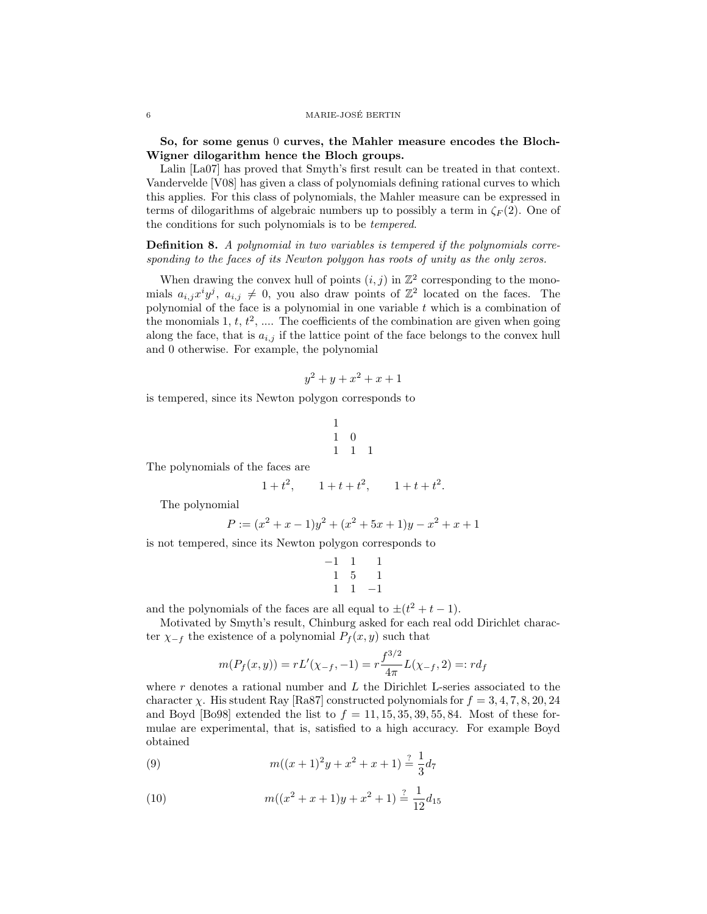So, for some genus 0 curves, the Mahler measure encodes the Bloch-Wigner dilogarithm hence the Bloch groups.

Lalin [La07] has proved that Smyth's first result can be treated in that context. Vandervelde [V08] has given a class of polynomials defining rational curves to which this applies. For this class of polynomials, the Mahler measure can be expressed in terms of dilogarithms of algebraic numbers up to possibly a term in  $\zeta_F(2)$ . One of the conditions for such polynomials is to be tempered.

Definition 8. A polynomial in two variables is tempered if the polynomials corresponding to the faces of its Newton polygon has roots of unity as the only zeros.

When drawing the convex hull of points  $(i, j)$  in  $\mathbb{Z}^2$  corresponding to the monomials  $a_{i,j}x^iy^j$ ,  $a_{i,j} \neq 0$ , you also draw points of  $\mathbb{Z}^2$  located on the faces. The polynomial of the face is a polynomial in one variable  $t$  which is a combination of the monomials 1,  $t, t^2, \ldots$  The coefficients of the combination are given when going along the face, that is  $a_{i,j}$  if the lattice point of the face belongs to the convex hull and 0 otherwise. For example, the polynomial

$$
y^2 + y + x^2 + x + 1
$$

is tempered, since its Newton polygon corresponds to

$$
\begin{array}{ccc} 1 & & \\ 1 & 0 & \\ 1 & 1 & 1 \end{array}
$$

The polynomials of the faces are

$$
1+t^2
$$
,  $1+t+t^2$ ,  $1+t+t^2$ .

The polynomial

$$
P := (x2 + x - 1)y2 + (x2 + 5x + 1)y - x2 + x + 1
$$

is not tempered, since its Newton polygon corresponds to

$$
\begin{array}{ccc}\n-1 & 1 & 1 \\
1 & 5 & 1 \\
1 & 1 & -1\n\end{array}
$$

and the polynomials of the faces are all equal to  $\pm(t^2+t-1)$ .

Motivated by Smyth's result, Chinburg asked for each real odd Dirichlet character  $\chi_{-f}$  the existence of a polynomial  $P_f(x, y)$  such that

$$
m(P_f(x,y)) = rL'(\chi_{-f}, -1) = r\frac{f^{3/2}}{4\pi}L(\chi_{-f}, 2) =: rd_f
$$

where  $r$  denotes a rational number and  $L$  the Dirichlet L-series associated to the character  $\chi$ . His student Ray [Ra87] constructed polynomials for  $f = 3, 4, 7, 8, 20, 24$ and Boyd [Bo98] extended the list to  $f = 11, 15, 35, 39, 55, 84$ . Most of these formulae are experimental, that is, satisfied to a high accuracy. For example Boyd obtained

(9) 
$$
m((x+1)^2y + x^2 + x + 1) \stackrel{?}{=} \frac{1}{3}d_7
$$

(10) 
$$
m((x^2 + x + 1)y + x^2 + 1) \stackrel{?}{=} \frac{1}{12}d_{15}
$$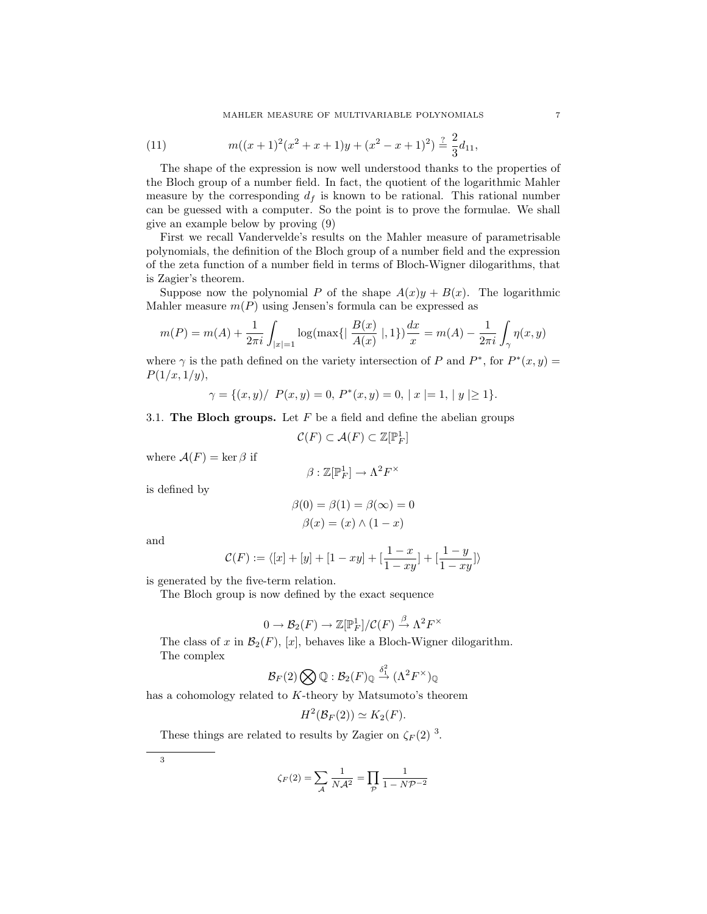(11) 
$$
m((x+1)^2(x^2+x+1)y+(x^2-x+1)^2) \stackrel{?}{=} \frac{2}{3}d_{11},
$$

The shape of the expression is now well understood thanks to the properties of the Bloch group of a number field. In fact, the quotient of the logarithmic Mahler measure by the corresponding  $d_f$  is known to be rational. This rational number can be guessed with a computer. So the point is to prove the formulae. We shall give an example below by proving (9)

First we recall Vandervelde's results on the Mahler measure of parametrisable polynomials, the definition of the Bloch group of a number field and the expression of the zeta function of a number field in terms of Bloch-Wigner dilogarithms, that is Zagier's theorem.

Suppose now the polynomial P of the shape  $A(x)y + B(x)$ . The logarithmic Mahler measure  $m(P)$  using Jensen's formula can be expressed as

$$
m(P) = m(A) + \frac{1}{2\pi i} \int_{|x|=1} \log(\max\{|\frac{B(x)}{A(x)}|, 1\}) \frac{dx}{x} = m(A) - \frac{1}{2\pi i} \int_{\gamma} \eta(x, y)
$$

where  $\gamma$  is the path defined on the variety intersection of P and  $P^*$ , for  $P^*(x, y) =$  $P(1/x, 1/y),$ 

$$
\gamma = \{(x, y) / P(x, y) = 0, P^*(x, y) = 0, |x| = 1, |y| \ge 1\}.
$$

3.1. The Bloch groups. Let  $F$  be a field and define the abelian groups

$$
\mathcal{C}(F) \subset \mathcal{A}(F) \subset \mathbb{Z}[\mathbb{P}_F^1]
$$

where  $\mathcal{A}(F) = \ker \beta$  if

$$
\beta:\mathbb{Z}[\mathbb{P}^1_F]\to\Lambda^2F^\times
$$

is defined by

$$
\beta(0) = \beta(1) = \beta(\infty) = 0
$$

$$
\beta(x) = (x) \land (1 - x)
$$

and

$$
\mathcal{C}(F) := \langle [x] + [y] + [1 - xy] + [\frac{1 - x}{1 - xy}] + [\frac{1 - y}{1 - xy}]\rangle
$$

is generated by the five-term relation.

The Bloch group is now defined by the exact sequence

$$
0 \to \mathcal{B}_2(F) \to \mathbb{Z}[\mathbb{P}^1_F] / \mathcal{C}(F) \stackrel{\beta}{\to} \Lambda^2 F^\times
$$

The class of x in  $\mathcal{B}_2(F)$ , [x], behaves like a Bloch-Wigner dilogarithm. The complex

$$
\mathcal{B}_F(2)\bigotimes\mathbb{Q}:\mathcal{B}_2(F)_{\mathbb{Q}}\stackrel{\delta_1^2}{\to}(\Lambda^2F^\times)_{\mathbb{Q}}
$$

has a cohomology related to K-theory by Matsumoto's theorem

$$
H^2(\mathcal{B}_F(2)) \simeq K_2(F).
$$

These things are related to results by Zagier on  $\zeta_F(2)^3$ .

3

$$
\zeta_F(2) = \sum_{\mathcal{A}} \frac{1}{N\mathcal{A}^2} = \prod_{\mathcal{P}} \frac{1}{1 - N\mathcal{P}^{-2}}
$$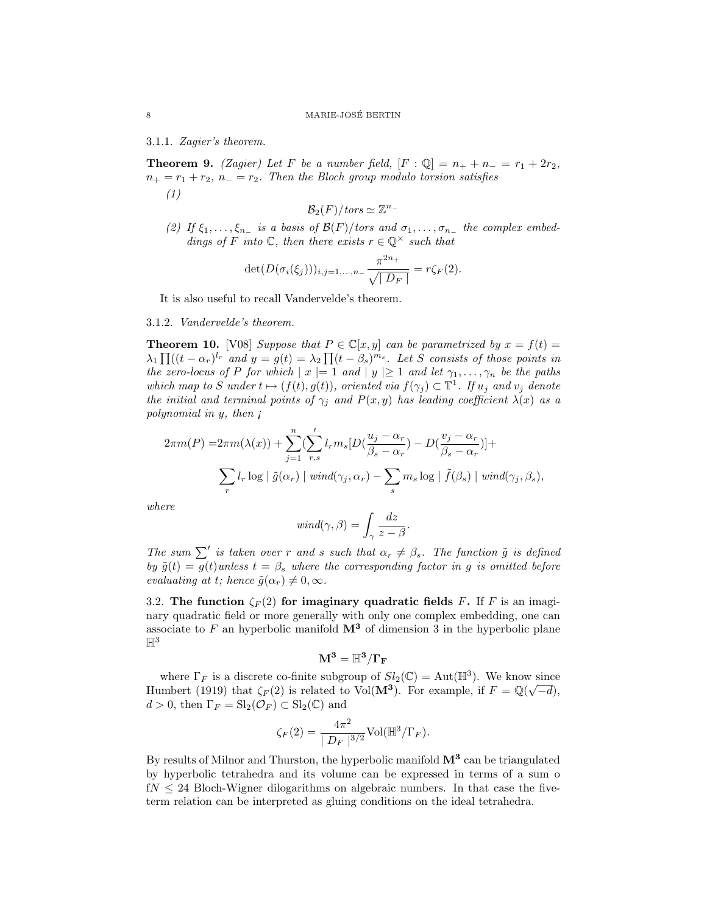3.1.1. Zagier's theorem.

**Theorem 9.** (Zagier) Let F be a number field,  $[F : \mathbb{Q}] = n_+ + n_- = r_1 + 2r_2$ ,  $n_+ = r_1 + r_2$ ,  $n_- = r_2$ . Then the Bloch group modulo torsion satisfies (1)

$$
\mathcal{B}_2(F)/\mathit{tors}\simeq \mathbb{Z}^{n_-}
$$

(2) If  $\xi_1, \ldots, \xi_{n-}$  is a basis of  $\mathcal{B}(F)/\text{tors}$  and  $\sigma_1, \ldots, \sigma_{n-}$  the complex embeddings of F into  $\mathbb{C}$ , then there exists  $r \in \mathbb{Q}^{\times}$  such that

$$
\det(D(\sigma_i(\xi_j)))_{i,j=1,...,n-}\frac{\pi^{2n_+}}{\sqrt{|D_F|}}=r\zeta_F(2).
$$

It is also useful to recall Vandervelde's theorem.

3.1.2. Vandervelde's theorem.

**Theorem 10.** [V08] Suppose that  $P \in \mathbb{C}[x, y]$  can be parametrized by  $x = f(t) =$  $\lambda_1 \prod((t - \alpha_r)^{l_r}$  and  $y = g(t) = \lambda_2 \prod(t - \beta_s)^{m_s}$ . Let S consists of those points in the zero-locus of P for which  $|x| = 1$  and  $|y| \ge 1$  and let  $\gamma_1, \ldots, \gamma_n$  be the paths which map to S under  $t \mapsto (f(t), g(t))$ , oriented via  $f(\gamma_j) \subset \mathbb{T}^1$ . If  $u_j$  and  $v_j$  denote the initial and terminal points of  $\gamma_j$  and  $P(x, y)$  has leading coefficient  $\lambda(x)$  as a polynomial in y, then  $\mathfrak{g}$ 

$$
2\pi m(P) = 2\pi m(\lambda(x)) + \sum_{j=1}^{n} \left( \sum_{r,s}^{\prime} l_r m_s [D(\frac{u_j - \alpha_r}{\beta_s - \alpha_r}) - D(\frac{v_j - \alpha_r}{\beta_s - \alpha_r})] + \sum_{r} l_r \log | \tilde{g}(\alpha_r) | \text{ wind}(\gamma_j, \alpha_r) - \sum_{s} m_s \log | \tilde{f}(\beta_s) | \text{ wind}(\gamma_j, \beta_s),
$$

where

$$
wind(\gamma, \beta) = \int_{\gamma} \frac{dz}{z - \beta}.
$$

The sum  $\sum'$  is taken over r and s such that  $\alpha_r \neq \beta_s$ . The function  $\tilde{g}$  is defined by  $\tilde{g}(t) = g(t)$ unless  $t = \beta_s$  where the corresponding factor in g is omitted before evaluating at t; hence  $\tilde{g}(\alpha_r) \neq 0, \infty$ .

3.2. The function  $\zeta_F(2)$  for imaginary quadratic fields F. If F is an imaginary quadratic field or more generally with only one complex embedding, one can associate to F an hyperbolic manifold  $\mathbf{M}^3$  of dimension 3 in the hyperbolic plane  $\mathbb{H}^3$ 

$$
\bf M^3 = \mathbb{H}^3/\Gamma_F
$$

where  $\Gamma_F$  is a discrete co-finite subgroup of  $Sl_2(\mathbb{C}) = \text{Aut}(\mathbb{H}^3)$ . We know since Humbert (1919) that  $\zeta_F(2)$  is related to Vol( $\mathbf{M}^3$ ). For example, if  $F = \mathbb{Q}(\sqrt{-d})$ ,  $d > 0$ , then  $\Gamma_F = \mathrm{Sl}_2(\mathcal{O}_F) \subset \mathrm{Sl}_2(\mathbb{C})$  and

$$
\zeta_F(2) = \frac{4\pi^2}{\mid D_F\mid^{3/2}} \text{Vol}(\mathbb{H}^3/\Gamma_F).
$$

By results of Milnor and Thurston, the hyperbolic manifold  $M^3$  can be triangulated by hyperbolic tetrahedra and its volume can be expressed in terms of a sum o  $fN \leq 24$  Bloch-Wigner dilogarithms on algebraic numbers. In that case the fiveterm relation can be interpreted as gluing conditions on the ideal tetrahedra.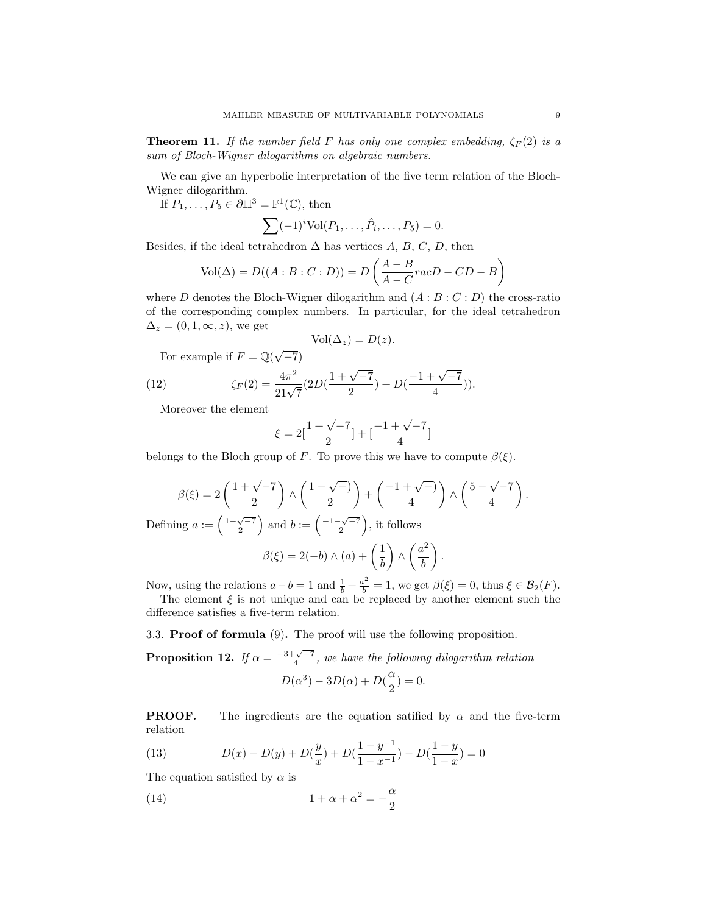**Theorem 11.** If the number field F has only one complex embedding,  $\zeta_F(2)$  is a sum of Bloch-Wigner dilogarithms on algebraic numbers.

We can give an hyperbolic interpretation of the five term relation of the Bloch-Wigner dilogarithm.

If  $P_1, \ldots, P_5 \in \partial \mathbb{H}^3 = \mathbb{P}^1(\mathbb{C})$ , then

$$
\sum (-1)^{i} \text{Vol}(P_1, \ldots, \hat{P_i}, \ldots, P_5) = 0.
$$

Besides, if the ideal tetrahedron  $\Delta$  has vertices A, B, C, D, then

$$
Vol(\Delta) = D((A:B:C:D)) = D\left(\frac{A-B}{A-C}racD-CD-B\right)
$$

where D denotes the Bloch-Wigner dilogarithm and  $(A : B : C : D)$  the cross-ratio of the corresponding complex numbers. In particular, for the ideal tetrahedron  $\Delta_z = (0, 1, \infty, z)$ , we get

$$
Vol(\Delta_z) = D(z).
$$

For example if  $F = \mathbb{Q}(\sqrt{-7})$ 

(12) 
$$
\zeta_F(2) = \frac{4\pi^2}{21\sqrt{7}} (2D(\frac{1+\sqrt{-7}}{2}) + D(\frac{-1+\sqrt{-7}}{4})).
$$

Moreover the element

$$
\xi = 2\left[\frac{1+\sqrt{-7}}{2}\right] + \left[\frac{-1+\sqrt{-7}}{4}\right]
$$

belongs to the Bloch group of F. To prove this we have to compute  $\beta(\xi)$ .

$$
\beta(\xi) = 2\left(\frac{1+\sqrt{-7}}{2}\right) \wedge \left(\frac{1-\sqrt{-1}}{2}\right) + \left(\frac{-1+\sqrt{-1}}{4}\right) \wedge \left(\frac{5-\sqrt{-7}}{4}\right).
$$
  
Defining  $a := \left(\frac{1-\sqrt{-7}}{2}\right)$  and  $b := \left(\frac{-1-\sqrt{-7}}{2}\right)$ , it follows  

$$
\beta(\xi) = 2(-b) \wedge (a) + \left(\frac{1}{b}\right) \wedge \left(\frac{a^2}{b}\right).
$$

Now, using the relations  $a - b = 1$  and  $\frac{1}{b} + \frac{a^2}{b} = 1$ , we get  $\beta(\xi) = 0$ , thus  $\xi \in \mathcal{B}_2(F)$ .

The element  $\xi$  is not unique and can be replaced by another element such the difference satisfies a five-term relation.

3.3. Proof of formula (9). The proof will use the following proposition.

**Proposition 12.** If  $\alpha = \frac{-3+\sqrt{-7}}{4}$ , we have the following dilogarithm relation  $D(\alpha^3) - 3D(\alpha) + D(\frac{\alpha}{2})$  $\frac{\alpha}{2})=0.$ 

**PROOF.** The ingredients are the equation satified by  $\alpha$  and the five-term relation

(13) 
$$
D(x) - D(y) + D(\frac{y}{x}) + D(\frac{1-y^{-1}}{1-x^{-1}}) - D(\frac{1-y}{1-x}) = 0
$$

The equation satisfied by  $\alpha$  is

(14) 
$$
1 + \alpha + \alpha^2 = -\frac{\alpha}{2}
$$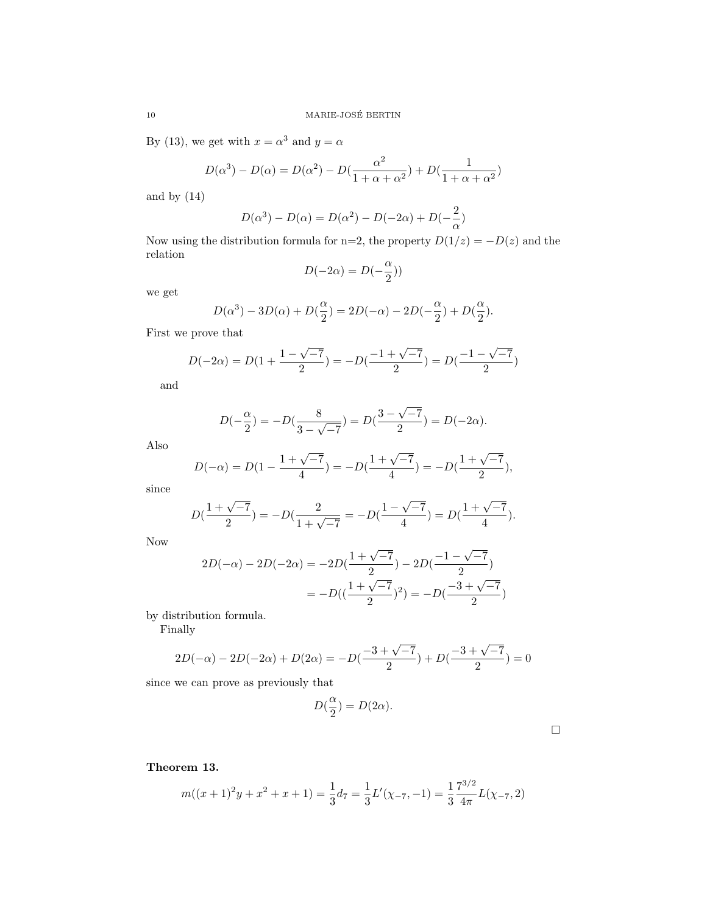By (13), we get with  $x = \alpha^3$  and  $y = \alpha$ 

$$
D(\alpha^{3}) - D(\alpha) = D(\alpha^{2}) - D(\frac{\alpha^{2}}{1 + \alpha + \alpha^{2}}) + D(\frac{1}{1 + \alpha + \alpha^{2}})
$$

and by (14)

$$
D(\alpha^3) - D(\alpha) = D(\alpha^2) - D(-2\alpha) + D(-\frac{2}{\alpha})
$$

Now using the distribution formula for n=2, the property  $D(1/z) = -D(z)$  and the relation

$$
D(-2\alpha) = D(-\frac{\alpha}{2}))
$$

we get

$$
D(\alpha^{3}) - 3D(\alpha) + D(\frac{\alpha}{2}) = 2D(-\alpha) - 2D(-\frac{\alpha}{2}) + D(\frac{\alpha}{2}).
$$

First we prove that

$$
D(-2\alpha) = D(1 + \frac{1 - \sqrt{-7}}{2}) = -D(\frac{-1 + \sqrt{-7}}{2}) = D(\frac{-1 - \sqrt{-7}}{2})
$$

and

$$
D(-\frac{\alpha}{2}) = -D(\frac{8}{3 - \sqrt{-7}}) = D(\frac{3 - \sqrt{-7}}{2}) = D(-2\alpha).
$$

Also

$$
D(-\alpha) = D(1 - \frac{1 + \sqrt{-7}}{4}) = -D(\frac{1 + \sqrt{-7}}{4}) = -D(\frac{1 + \sqrt{-7}}{2}),
$$

since

$$
D(\frac{1+\sqrt{-7}}{2}) = -D(\frac{2}{1+\sqrt{-7}}) = -D(\frac{1-\sqrt{-7}}{4}) = D(\frac{1+\sqrt{-7}}{4}).
$$

Now

$$
2D(-\alpha) - 2D(-2\alpha) = -2D(\frac{1+\sqrt{-7}}{2}) - 2D(\frac{-1-\sqrt{-7}}{2})
$$

$$
= -D((\frac{1+\sqrt{-7}}{2})^2) = -D(\frac{-3+\sqrt{-7}}{2})
$$

by distribution formula.

Finally

$$
2D(-\alpha) - 2D(-2\alpha) + D(2\alpha) = -D(\frac{-3 + \sqrt{-7}}{2}) + D(\frac{-3 + \sqrt{-7}}{2}) = 0
$$

since we can prove as previously that

$$
D(\frac{\alpha}{2}) = D(2\alpha).
$$

Theorem 13.

$$
m((x+1)^2y + x^2 + x + 1) = \frac{1}{3}d_7 = \frac{1}{3}L'(\chi_{-7}, -1) = \frac{1}{3}\frac{7^{3/2}}{4\pi}L(\chi_{-7}, 2)
$$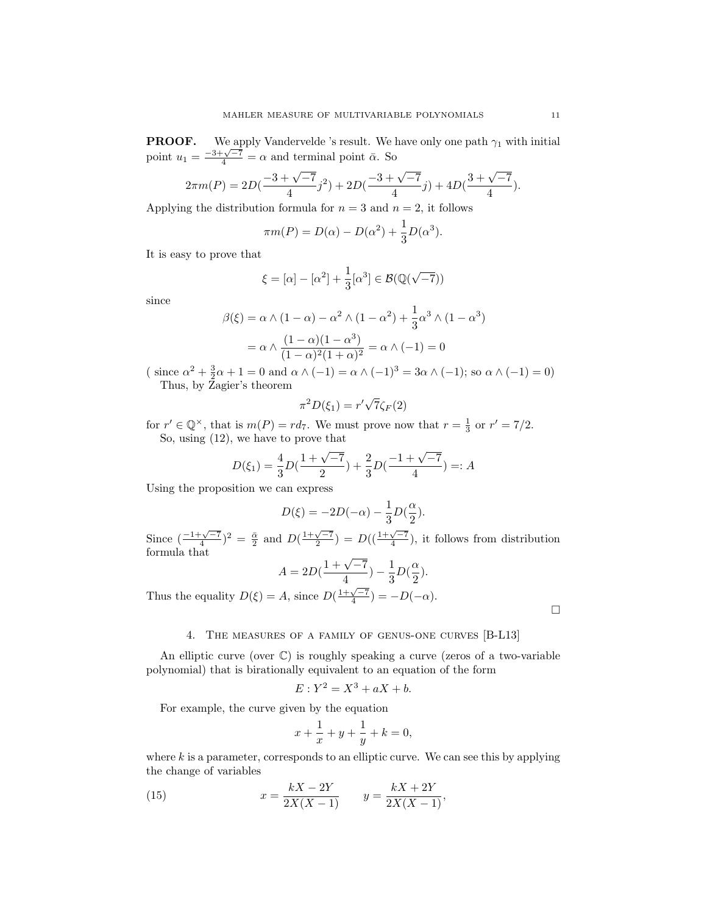**PROOF.** We apply Vandervelde 's result. We have only one path  $\gamma_1$  with initial **point**  $u_1 = \frac{-3 + \sqrt{-7}}{4} = \alpha$  and terminal point  $\bar{\alpha}$ . So

$$
2\pi m(P) = 2D\left(\frac{-3+\sqrt{-7}}{4}j^2\right) + 2D\left(\frac{-3+\sqrt{-7}}{4}j\right) + 4D\left(\frac{3+\sqrt{-7}}{4}\right).
$$

Applying the distribution formula for  $n = 3$  and  $n = 2$ , it follows

$$
\pi m(P) = D(\alpha) - D(\alpha^2) + \frac{1}{3}D(\alpha^3).
$$

It is easy to prove that

$$
\xi=[\alpha]-[\alpha^2]+\frac{1}{3}[\alpha^3]\in\mathcal{B}(\mathbb{Q}(\sqrt{-7}))
$$

since

$$
\beta(\xi) = \alpha \wedge (1 - \alpha) - \alpha^2 \wedge (1 - \alpha^2) + \frac{1}{3} \alpha^3 \wedge (1 - \alpha^3)
$$

$$
= \alpha \wedge \frac{(1 - \alpha)(1 - \alpha^3)}{(1 - \alpha)^2 (1 + \alpha)^2} = \alpha \wedge (-1) = 0
$$

( since  $\alpha^2 + \frac{3}{2}\alpha + 1 = 0$  and  $\alpha \wedge (-1) = \alpha \wedge (-1)^3 = 3\alpha \wedge (-1)$ ; so  $\alpha \wedge (-1) = 0$ ) Thus, by Zagier's theorem

$$
\pi^2 D(\xi_1) = r' \sqrt{7} \zeta_F(2)
$$

for  $r' \in \mathbb{Q}^{\times}$ , that is  $m(P) = rd_7$ . We must prove now that  $r = \frac{1}{3}$  or  $r' = \frac{7}{2}$ . So, using (12), we have to prove that

$$
D(\xi_1) = \frac{4}{3}D(\frac{1+\sqrt{-7}}{2}) + \frac{2}{3}D(\frac{-1+\sqrt{-7}}{4}) =: A
$$

Using the proposition we can express

$$
D(\xi) = -2D(-\alpha) - \frac{1}{3}D(\frac{\alpha}{2}).
$$

Since  $\left(\frac{-1+\sqrt{-7}}{4}\right)^2 = \frac{\bar{\alpha}}{2}$  and  $D\left(\frac{1+\sqrt{-7}}{2}\right) = D\left(\left(\frac{1+\sqrt{-7}}{4}\right)\right)$ , it follows from distribution formula that

$$
A = 2D(\frac{1+\sqrt{-7}}{4}) - \frac{1}{3}D(\frac{\alpha}{2}).
$$

Thus the equality  $D(\xi) = A$ , since  $D(\frac{1+\sqrt{-7}}{4}) = -D(-\alpha)$ .

 $\Box$ 

# 4. The measures of a family of genus-one curves [B-L13]

An elliptic curve (over  $\mathbb{C}$ ) is roughly speaking a curve (zeros of a two-variable polynomial) that is birationally equivalent to an equation of the form

$$
E: Y^2 = X^3 + aX + b.
$$

For example, the curve given by the equation

$$
x + \frac{1}{x} + y + \frac{1}{y} + k = 0,
$$

where  $k$  is a parameter, corresponds to an elliptic curve. We can see this by applying the change of variables

(15) 
$$
x = \frac{kX - 2Y}{2X(X - 1)} \qquad y = \frac{kX + 2Y}{2X(X - 1)},
$$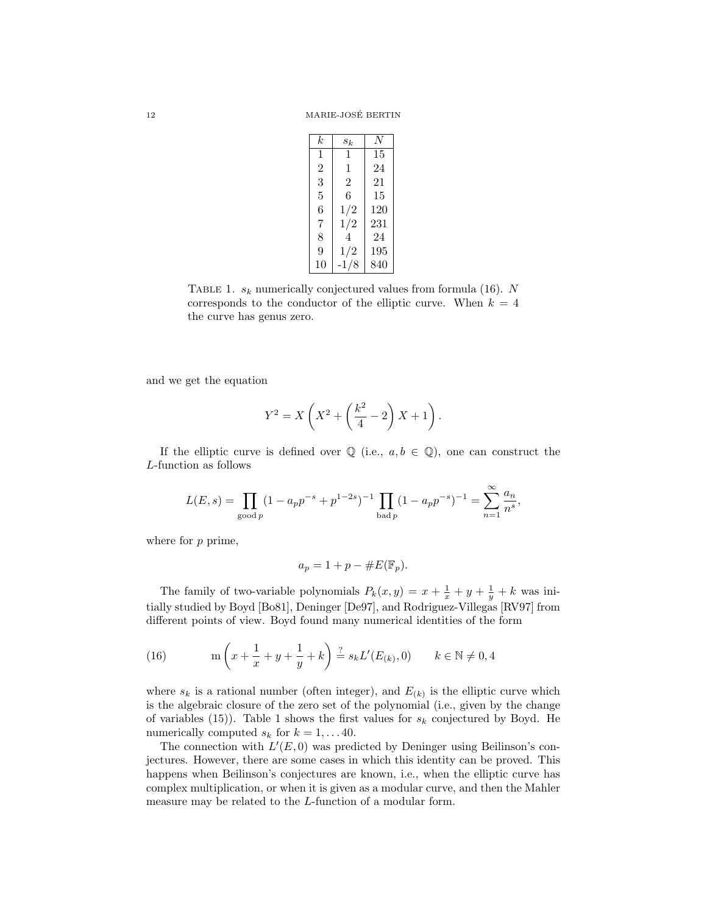| k              | $s_k$          | N   |
|----------------|----------------|-----|
| 1              | 1              | 15  |
| $\overline{2}$ | 1              | 24  |
| 3              | $\mathfrak{D}$ | 21  |
| 5              | 6              | 15  |
| 6              | 1/2            | 120 |
| 7              | 1/2            | 231 |
| 8              | 4              | 24  |
| 9              | 1/2            | 195 |
| 10             | 8<br>$-1/$     | 840 |

TABLE 1.  $s_k$  numerically conjectured values from formula (16). N corresponds to the conductor of the elliptic curve. When  $k = 4$ the curve has genus zero.

and we get the equation

$$
Y^{2} = X\left(X^{2} + \left(\frac{k^{2}}{4} - 2\right)X + 1\right).
$$

If the elliptic curve is defined over  $\mathbb Q$  (i.e.,  $a, b \in \mathbb Q$ ), one can construct the L-function as follows

$$
L(E, s) = \prod_{\text{good }p} (1 - a_p p^{-s} + p^{1-2s})^{-1} \prod_{\text{bad }p} (1 - a_p p^{-s})^{-1} = \sum_{n=1}^{\infty} \frac{a_n}{n^s},
$$

where for  $p$  prime,

$$
a_p = 1 + p - \#E(\mathbb{F}_p).
$$

The family of two-variable polynomials  $P_k(x,y) = x + \frac{1}{x} + y + \frac{1}{y} + k$  was initially studied by Boyd [Bo81], Deninger [De97], and Rodriguez-Villegas [RV97] from different points of view. Boyd found many numerical identities of the form

(16) 
$$
\operatorname{m}\left(x + \frac{1}{x} + y + \frac{1}{y} + k\right) \stackrel{?}{=} s_k L'(E_{(k)}, 0) \qquad k \in \mathbb{N} \neq 0, 4
$$

where  $s_k$  is a rational number (often integer), and  $E_{(k)}$  is the elliptic curve which is the algebraic closure of the zero set of the polynomial (i.e., given by the change of variables (15)). Table 1 shows the first values for  $s_k$  conjectured by Boyd. He numerically computed  $s_k$  for  $k = 1, \ldots 40$ .

The connection with  $L'(E, 0)$  was predicted by Deninger using Beilinson's conjectures. However, there are some cases in which this identity can be proved. This happens when Beilinson's conjectures are known, i.e., when the elliptic curve has complex multiplication, or when it is given as a modular curve, and then the Mahler measure may be related to the L-function of a modular form.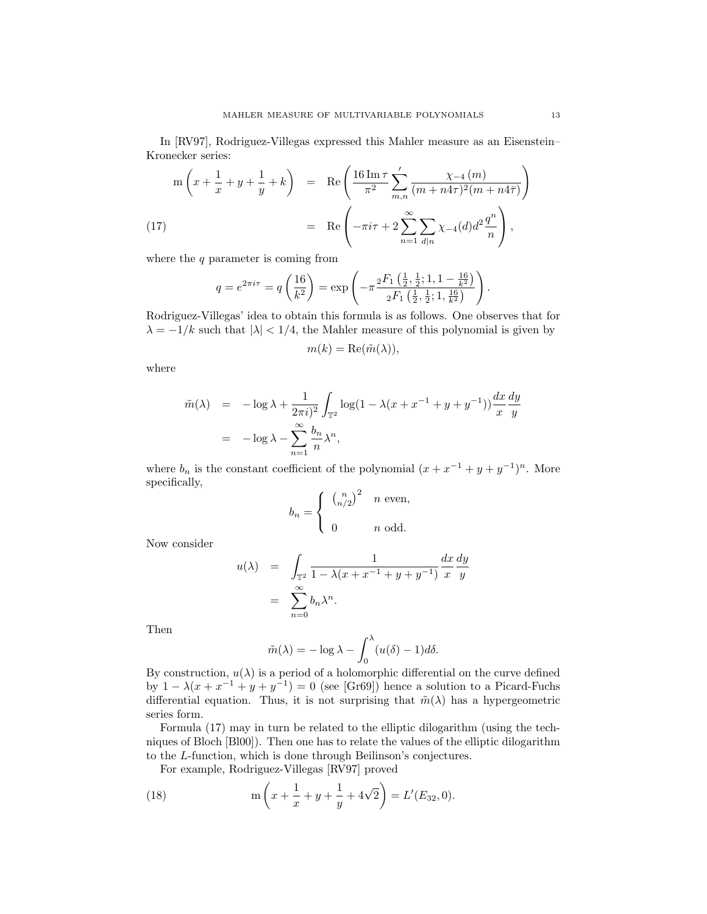In [RV97], Rodriguez-Villegas expressed this Mahler measure as an Eisenstein– Kronecker series:

$$
m\left(x + \frac{1}{x} + y + \frac{1}{y} + k\right) = \text{Re}\left(\frac{16\,\text{Im}\,\tau}{\pi^2} \sum_{m,n}^{\prime} \frac{\chi_{-4}\left(m\right)}{(m + n4\tau)^2 (m + n4\bar{\tau})}\right)
$$
\n
$$
= \text{Re}\left(-\pi i\tau + 2\sum_{n=1}^{\infty} \sum_{d|n} \chi_{-4}(d)d^2 \frac{q^n}{n}\right),
$$

where the  $q$  parameter is coming from

$$
q = e^{2\pi i \tau} = q \left( \frac{16}{k^2} \right) = \exp \left( -\pi \frac{{}_2F_1 \left( \frac{1}{2}, \frac{1}{2}; 1, 1 - \frac{16}{k^2} \right)}{{}_2F_1 \left( \frac{1}{2}, \frac{1}{2}; 1, \frac{16}{k^2} \right)} \right).
$$

Rodriguez-Villegas' idea to obtain this formula is as follows. One observes that for  $\lambda = -1/k$  such that  $|\lambda| < 1/4$ , the Mahler measure of this polynomial is given by

$$
m(k) = \text{Re}(\tilde{m}(\lambda)),
$$

where

$$
\tilde{m}(\lambda) = -\log \lambda + \frac{1}{2\pi i} \int_{\mathbb{T}^2} \log(1 - \lambda(x + x^{-1} + y + y^{-1})) \frac{dx}{x} \frac{dy}{y}
$$

$$
= -\log \lambda - \sum_{n=1}^{\infty} \frac{b_n}{n} \lambda^n,
$$

where  $b_n$  is the constant coefficient of the polynomial  $(x + x^{-1} + y + y^{-1})^n$ . More specifically,

$$
b_n = \begin{cases} \left(\begin{array}{c} n \\ n/2 \end{array}\right)^2 & n \text{ even,} \\ 0 & n \text{ odd.} \end{cases}
$$

Now consider

$$
u(\lambda) = \int_{\mathbb{T}^2} \frac{1}{1 - \lambda(x + x^{-1} + y + y^{-1})} \frac{dx}{x} \frac{dy}{y}
$$

$$
= \sum_{n=0}^{\infty} b_n \lambda^n.
$$

Then

$$
\tilde{m}(\lambda) = -\log \lambda - \int_0^{\lambda} (u(\delta) - 1) d\delta.
$$

By construction,  $u(\lambda)$  is a period of a holomorphic differential on the curve defined by  $1 - \lambda(x + x^{-1} + y + y^{-1}) = 0$  (see [Gr69]) hence a solution to a Picard-Fuchs differential equation. Thus, it is not surprising that  $\tilde{m}(\lambda)$  has a hypergeometric series form.

Formula (17) may in turn be related to the elliptic dilogarithm (using the techniques of Bloch [Bl00]). Then one has to relate the values of the elliptic dilogarithm to the L-function, which is done through Beilinson's conjectures.

For example, Rodriguez-Villegas [RV97] proved

(18) 
$$
m\left(x + \frac{1}{x} + y + \frac{1}{y} + 4\sqrt{2}\right) = L'(E_{32}, 0).
$$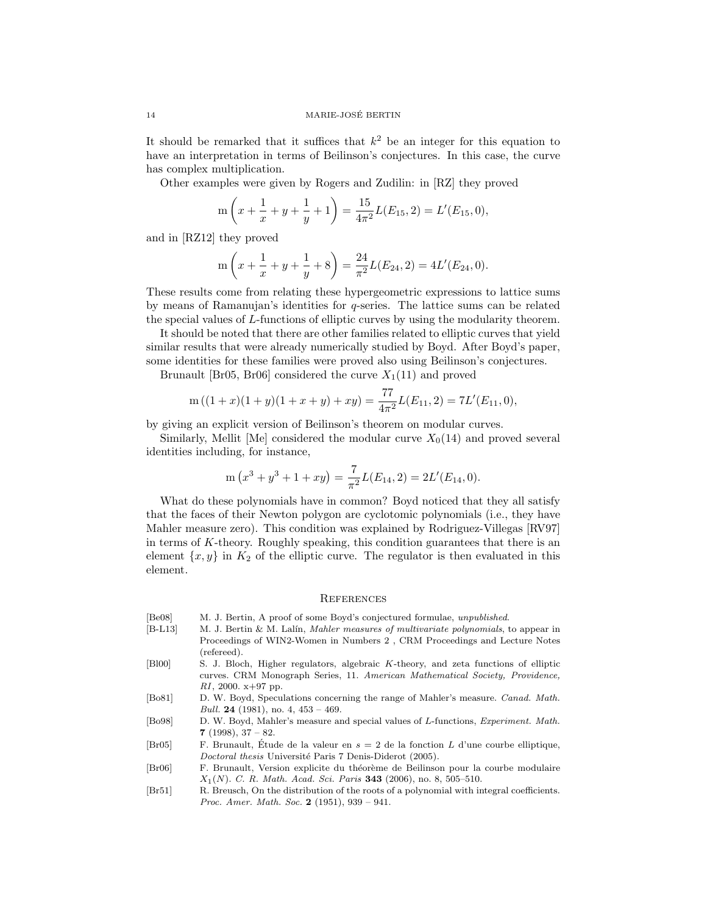It should be remarked that it suffices that  $k^2$  be an integer for this equation to have an interpretation in terms of Beilinson's conjectures. In this case, the curve has complex multiplication.

Other examples were given by Rogers and Zudilin: in [RZ] they proved

$$
m\left(x+\frac{1}{x}+y+\frac{1}{y}+1\right)=\frac{15}{4\pi^2}L(E_{15},2)=L'(E_{15},0),
$$

and in [RZ12] they proved

$$
m\left(x+\frac{1}{x}+y+\frac{1}{y}+8\right)=\frac{24}{\pi^2}L(E_{24},2)=4L'(E_{24},0).
$$

These results come from relating these hypergeometric expressions to lattice sums by means of Ramanujan's identities for q-series. The lattice sums can be related the special values of L-functions of elliptic curves by using the modularity theorem.

It should be noted that there are other families related to elliptic curves that yield similar results that were already numerically studied by Boyd. After Boyd's paper, some identities for these families were proved also using Beilinson's conjectures.

Brunault [Br05, Br06] considered the curve  $X_1(11)$  and proved

$$
m((1+x)(1+y)(1+x+y)+xy) = \frac{77}{4\pi^2}L(E_{11}, 2) = 7L'(E_{11}, 0),
$$

by giving an explicit version of Beilinson's theorem on modular curves.

Similarly, Mellit [Me] considered the modular curve  $X_0(14)$  and proved several identities including, for instance,

$$
m(x3 + y3 + 1 + xy) = \frac{7}{\pi^{2}}L(E_{14}, 2) = 2L'(E_{14}, 0).
$$

What do these polynomials have in common? Boyd noticed that they all satisfy that the faces of their Newton polygon are cyclotomic polynomials (i.e., they have Mahler measure zero). This condition was explained by Rodriguez-Villegas [RV97] in terms of K-theory. Roughly speaking, this condition guarantees that there is an element  $\{x, y\}$  in  $K_2$  of the elliptic curve. The regulator is then evaluated in this element.

### **REFERENCES**

- [Be08] M. J. Bertin, A proof of some Boyd's conjectured formulae, unpublished.
- [B-L13] M. J. Bertin & M. Lalín, *Mahler measures of multivariate polynomials*, to appear in Proceedings of WIN2-Women in Numbers 2 , CRM Proceedings and Lecture Notes (refereed).
- [Bl00] S. J. Bloch, Higher regulators, algebraic K-theory, and zeta functions of elliptic curves. CRM Monograph Series, 11. American Mathematical Society, Providence,  $RI$ , 2000. x+97 pp.
- [Bo81] D. W. Boyd, Speculations concerning the range of Mahler's measure. Canad. Math. Bull. 24 (1981), no. 4,  $453 - 469$ .
- [Bo98] D. W. Boyd, Mahler's measure and special values of L-functions, Experiment. Math. 7 (1998),  $37 - 82$ .
- [Br05] F. Brunault, Étude de la valeur en  $s = 2$  de la fonction L d'une courbe elliptique, Doctoral thesis Université Paris 7 Denis-Diderot (2005).
- [Br06] F. Brunault, Version explicite du théorème de Beilinson pour la courbe modulaire  $X_1(N)$ . C. R. Math. Acad. Sci. Paris 343 (2006), no. 8, 505-510.
- [Br51] R. Breusch, On the distribution of the roots of a polynomial with integral coefficients. Proc. Amer. Math. Soc. 2 (1951), 939 – 941.